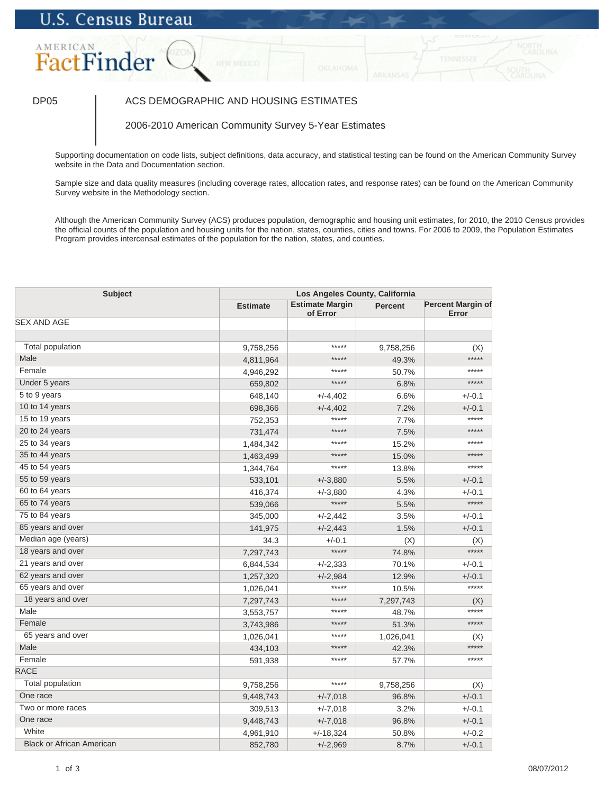# **U.S. Census Bureau**

## AMERICAN FactFinder

## DP05 | ACS DEMOGRAPHIC AND HOUSING ESTIMATES

2006-2010 American Community Survey 5-Year Estimates

Supporting documentation on code lists, subject definitions, data accuracy, and statistical testing can be found on the American Community Survey website in the Data and Documentation section.

Sample size and data quality measures (including coverage rates, allocation rates, and response rates) can be found on the American Community Survey website in the Methodology section.

Although the American Community Survey (ACS) produces population, demographic and housing unit estimates, for 2010, the 2010 Census provides the official counts of the population and housing units for the nation, states, counties, cities and towns. For 2006 to 2009, the Population Estimates Program provides intercensal estimates of the population for the nation, states, and counties.

| <b>Subject</b>                   |                 | Los Angeles County, California     |                |                                   |  |  |
|----------------------------------|-----------------|------------------------------------|----------------|-----------------------------------|--|--|
|                                  | <b>Estimate</b> | <b>Estimate Margin</b><br>of Error | <b>Percent</b> | <b>Percent Margin of</b><br>Error |  |  |
| <b>SEX AND AGE</b>               |                 |                                    |                |                                   |  |  |
|                                  |                 |                                    |                |                                   |  |  |
| Total population                 | 9,758,256       | *****                              | 9,758,256      | (X)                               |  |  |
| Male                             | 4,811,964       | *****                              | 49.3%          | $***$ ***                         |  |  |
| Female                           | 4,946,292       | *****                              | 50.7%          | *****                             |  |  |
| Under 5 years                    | 659,802         | *****                              | 6.8%           | *****                             |  |  |
| 5 to 9 years                     | 648,140         | $+/-4,402$                         | 6.6%           | $+/-0.1$                          |  |  |
| 10 to 14 years                   | 698,366         | $+/-4,402$                         | 7.2%           | $+/-0.1$                          |  |  |
| 15 to 19 years                   | 752,353         | *****                              | 7.7%           | *****                             |  |  |
| 20 to 24 years                   | 731,474         | *****                              | 7.5%           | *****                             |  |  |
| 25 to 34 years                   | 1,484,342       | *****                              | 15.2%          | *****                             |  |  |
| 35 to 44 years                   | 1,463,499       | *****                              | 15.0%          | *****                             |  |  |
| 45 to 54 years                   | 1,344,764       | *****                              | 13.8%          | *****                             |  |  |
| 55 to 59 years                   | 533,101         | $+/-3,880$                         | 5.5%           | $+/-0.1$                          |  |  |
| 60 to 64 years                   | 416,374         | $+/-3,880$                         | 4.3%           | $+/-0.1$                          |  |  |
| 65 to 74 years                   | 539,066         | *****                              | 5.5%           | *****                             |  |  |
| 75 to 84 years                   | 345,000         | $+/-2,442$                         | 3.5%           | $+/-0.1$                          |  |  |
| 85 years and over                | 141,975         | $+/-2,443$                         | 1.5%           | $+/-0.1$                          |  |  |
| Median age (years)               | 34.3            | $+/-0.1$                           | (X)            | (X)                               |  |  |
| 18 years and over                | 7,297,743       | $****$                             | 74.8%          | $***$ ***                         |  |  |
| 21 years and over                | 6,844,534       | $+/-2,333$                         | 70.1%          | $+/-0.1$                          |  |  |
| 62 years and over                | 1,257,320       | $+/-2,984$                         | 12.9%          | $+/-0.1$                          |  |  |
| 65 years and over                | 1,026,041       | *****                              | 10.5%          | *****                             |  |  |
| 18 years and over                | 7,297,743       | *****                              | 7,297,743      | (X)                               |  |  |
| Male                             | 3,553,757       | *****                              | 48.7%          | *****                             |  |  |
| Female                           | 3,743,986       | *****                              | 51.3%          | *****                             |  |  |
| 65 years and over                | 1,026,041       | *****                              | 1,026,041      | (X)                               |  |  |
| Male                             | 434,103         | *****                              | 42.3%          | *****                             |  |  |
| Female                           | 591,938         | *****                              | 57.7%          | *****                             |  |  |
| <b>RACE</b>                      |                 |                                    |                |                                   |  |  |
| <b>Total population</b>          | 9,758,256       | *****                              | 9,758,256      | (X)                               |  |  |
| One race                         | 9,448,743       | $+/-7,018$                         | 96.8%          | $+/-0.1$                          |  |  |
| Two or more races                | 309,513         | $+/-7,018$                         | 3.2%           | $+/-0.1$                          |  |  |
| One race                         | 9,448,743       | $+/-7,018$                         | 96.8%          | $+/-0.1$                          |  |  |
| White                            | 4,961,910       | $+/-18,324$                        | 50.8%          | $+/-0.2$                          |  |  |
| <b>Black or African American</b> | 852,780         | $+/-2,969$                         | 8.7%           | $+/-0.1$                          |  |  |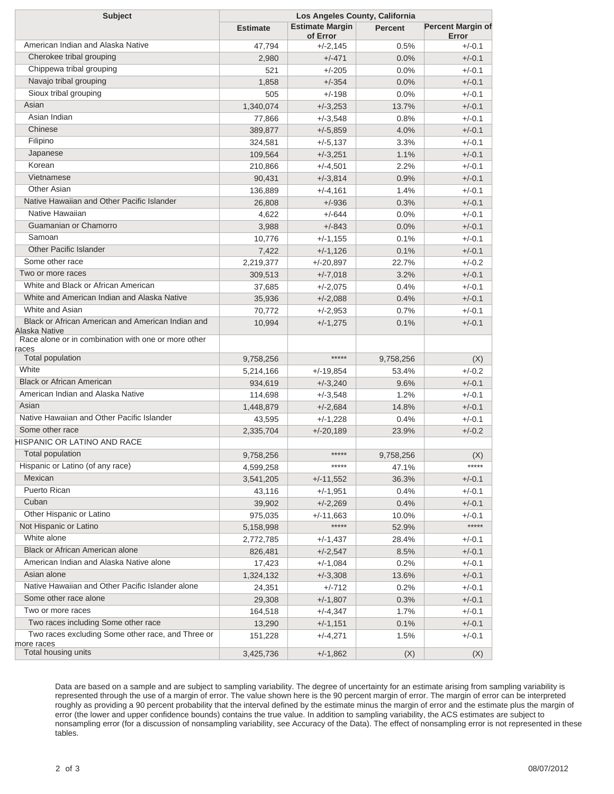| <b>Subject</b>                                                       |                        | Los Angeles County, California     |                    |                                   |  |
|----------------------------------------------------------------------|------------------------|------------------------------------|--------------------|-----------------------------------|--|
|                                                                      | <b>Estimate</b>        | <b>Estimate Margin</b><br>of Error | <b>Percent</b>     | <b>Percent Margin of</b><br>Error |  |
| American Indian and Alaska Native                                    | 47,794                 | $+/-2,145$                         | 0.5%               | $+/-0.1$                          |  |
| Cherokee tribal grouping                                             | 2,980                  | $+/-471$                           | 0.0%               | $+/-0.1$                          |  |
| Chippewa tribal grouping                                             | 521                    | $+/-205$                           | 0.0%               | $+/-0.1$                          |  |
| Navajo tribal grouping                                               | 1,858                  | $+/-354$                           | 0.0%               | $+/-0.1$                          |  |
| Sioux tribal grouping                                                | 505                    | $+/-198$                           | 0.0%               | $+/-0.1$                          |  |
| Asian                                                                | 1,340,074              | $+/-3,253$                         | 13.7%              | $+/-0.1$                          |  |
| Asian Indian                                                         | 77,866                 | $+/-3,548$                         | 0.8%               | $+/-0.1$                          |  |
| Chinese                                                              | 389,877                | $+/-5,859$                         | 4.0%               | $+/-0.1$                          |  |
| Filipino                                                             | 324,581                | $+/-5,137$                         | 3.3%               | $+/-0.1$                          |  |
| Japanese                                                             | 109,564                | $+/-3,251$                         | 1.1%               | $+/-0.1$                          |  |
| Korean                                                               | 210,866                | $+/-4,501$                         | 2.2%               | $+/-0.1$                          |  |
| Vietnamese                                                           | 90,431                 | $+/-3,814$                         | 0.9%               | $+/-0.1$                          |  |
| <b>Other Asian</b>                                                   | 136,889                | $+/-4,161$                         | 1.4%               | $+/-0.1$                          |  |
| Native Hawaiian and Other Pacific Islander                           | 26,808                 | $+/-936$                           | 0.3%               | $+/-0.1$                          |  |
| Native Hawaiian                                                      | 4,622                  | $+/-644$                           | 0.0%               | $+/-0.1$                          |  |
| Guamanian or Chamorro                                                | 3,988                  | $+/-843$                           | 0.0%               | $+/-0.1$                          |  |
| Samoan                                                               | 10,776                 | $+/-1,155$                         | 0.1%               | $+/-0.1$                          |  |
| <b>Other Pacific Islander</b>                                        | 7,422                  | $+/-1,126$                         | 0.1%               | $+/-0.1$                          |  |
| Some other race                                                      | 2,219,377              | $+/-20,897$                        | 22.7%              | $+/-0.2$                          |  |
| Two or more races                                                    | 309,513                | $+/-7,018$                         | 3.2%               | $+/-0.1$                          |  |
| White and Black or African American                                  | 37,685                 | $+/-2,075$                         | 0.4%               | $+/-0.1$                          |  |
| White and American Indian and Alaska Native                          | 35,936                 | $+/-2,088$                         | 0.4%               | $+/-0.1$                          |  |
| White and Asian                                                      | 70,772                 | $+/-2,953$                         | 0.7%               | $+/-0.1$                          |  |
| Black or African American and American Indian and                    | 10,994                 | $+/-1,275$                         | 0.1%               | $+/-0.1$                          |  |
| Alaska Native<br>Race alone or in combination with one or more other |                        |                                    |                    |                                   |  |
| races<br>Total population                                            | 9,758,256              | *****                              | 9,758,256          |                                   |  |
| White                                                                | 5,214,166              | $+/-19,854$                        | 53.4%              | (X)<br>$+/-0.2$                   |  |
| <b>Black or African American</b>                                     | 934,619                | $+/-3,240$                         | 9.6%               | $+/-0.1$                          |  |
| American Indian and Alaska Native                                    |                        | $+/-3,548$                         | 1.2%               | $+/-0.1$                          |  |
| Asian                                                                | 114,698<br>1,448,879   | $+/-2,684$                         | 14.8%              | $+/-0.1$                          |  |
| Native Hawaiian and Other Pacific Islander                           |                        | $+/-1,228$                         | 0.4%               | $+/-0.1$                          |  |
| Some other race                                                      | 43,595                 | $+/-20,189$                        | 23.9%              | $+/-0.2$                          |  |
| HISPANIC OR LATINO AND RACE                                          | 2,335,704              |                                    |                    |                                   |  |
| Total population                                                     |                        | *****                              |                    |                                   |  |
| Hispanic or Latino (of any race)                                     | 9,758,256              | *****                              | 9,758,256<br>47.1% | (X)<br>*****                      |  |
| Mexican                                                              | 4,599,258<br>3,541,205 | $+/-11,552$                        | 36.3%              | $+/-0.1$                          |  |
| Puerto Rican                                                         | 43,116                 | $+/-1,951$                         | 0.4%               | $+/-0.1$                          |  |
| Cuban                                                                |                        | $+/-2,269$                         | 0.4%               | $+/-0.1$                          |  |
| Other Hispanic or Latino                                             | 39,902                 | $+/-11,663$                        | 10.0%              | $+/-0.1$                          |  |
| Not Hispanic or Latino                                               | 975,035                | *****                              |                    | $****$                            |  |
| White alone                                                          | 5,158,998              |                                    | 52.9%<br>28.4%     | $+/-0.1$                          |  |
| Black or African American alone                                      | 2,772,785              | $+/-1,437$                         |                    |                                   |  |
| American Indian and Alaska Native alone                              | 826,481                | $+/-2,547$                         | 8.5%               | $+/-0.1$                          |  |
| Asian alone                                                          | 17,423                 | $+/-1,084$                         | 0.2%               | $+/-0.1$                          |  |
| Native Hawaiian and Other Pacific Islander alone                     | 1,324,132              | $+/-3,308$                         | 13.6%              | $+/-0.1$                          |  |
| Some other race alone                                                | 24,351                 | $+/-712$                           | 0.2%               | $+/-0.1$                          |  |
| Two or more races                                                    | 29,308                 | $+/-1,807$                         | 0.3%               | $+/-0.1$                          |  |
| Two races including Some other race                                  | 164,518                | $+/-4,347$                         | 1.7%               | $+/-0.1$                          |  |
| Two races excluding Some other race, and Three or                    | 13,290<br>151,228      | $+/-1,151$<br>$+/-4,271$           | 0.1%<br>1.5%       | $+/-0.1$<br>$+/-0.1$              |  |
| more races<br>Total housing units                                    |                        |                                    |                    |                                   |  |
|                                                                      | 3,425,736              | $+/-1,862$                         | (X)                | (X)                               |  |

Data are based on a sample and are subject to sampling variability. The degree of uncertainty for an estimate arising from sampling variability is represented through the use of a margin of error. The value shown here is the 90 percent margin of error. The margin of error can be interpreted roughly as providing a 90 percent probability that the interval defined by the estimate minus the margin of error and the estimate plus the margin of error (the lower and upper confidence bounds) contains the true value. In addition to sampling variability, the ACS estimates are subject to nonsampling error (for a discussion of nonsampling variability, see Accuracy of the Data). The effect of nonsampling error is not represented in these tables.